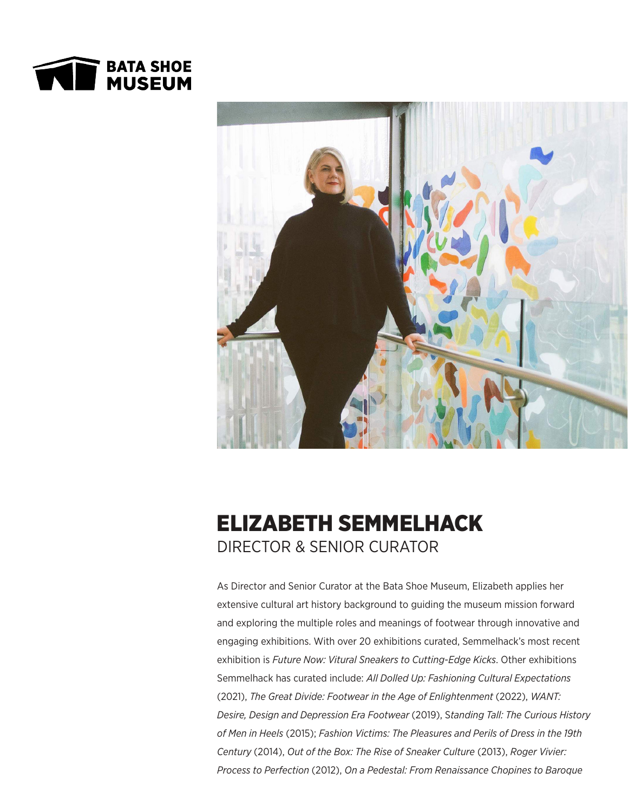



## ELIZABETH SEMMELHACK DIRECTOR & SENIOR CURATOR

As Director and Senior Curator at the Bata Shoe Museum, Elizabeth applies her extensive cultural art history background to guiding the museum mission forward and exploring the multiple roles and meanings of footwear through innovative and engaging exhibitions. With over 20 exhibitions curated, Semmelhack's most recent exhibition is *Future Now: Vitural Sneakers to Cutting-Edge Kicks*. Other exhibitions Semmelhack has curated include: *All Dolled Up: Fashioning Cultural Expectations*  (2021), *The Great Divide: Footwear in the Age of Enlightenment* (2022), *WANT: Desire, Design and Depression Era Footwear* (2019), S*tanding Tall: The Curious History of Men in Heels* (2015); *Fashion Victims: The Pleasures and Perils of Dress in the 19th Century* (2014), *Out of the Box: The Rise of Sneaker Culture* (2013), *Roger Vivier: Process to Perfection* (2012), *On a Pedestal: From Renaissance Chopines to Baroque*